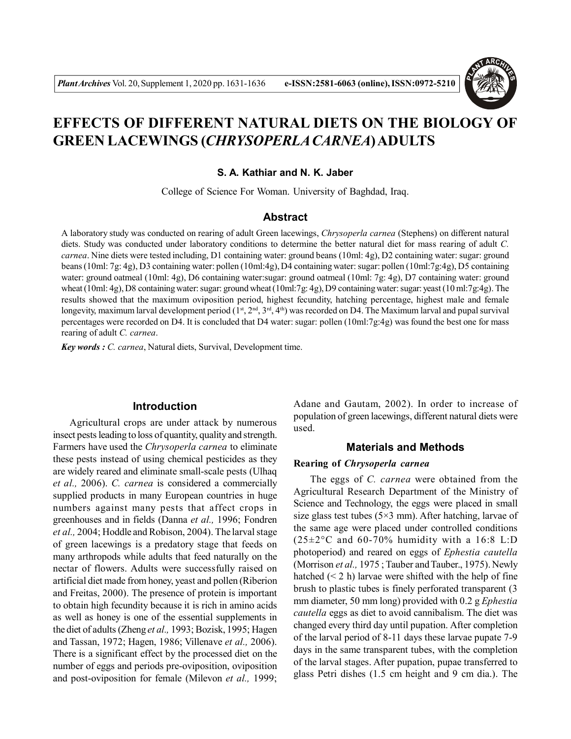

# **EFFECTS OF DIFFERENT NATURAL DIETS ON THE BIOLOGY OF GREEN LACEWINGS (***CHRYSOPERLA CARNEA***) ADULTS**

#### **S. A. Kathiar and N. K. Jaber**

College of Science For Woman. University of Baghdad, Iraq.

# **Abstract**

A laboratory study was conducted on rearing of adult Green lacewings, *Chrysoperla carnea* (Stephens) on different natural diets. Study was conducted under laboratory conditions to determine the better natural diet for mass rearing of adult *C. carnea*. Nine diets were tested including, D1 containing water: ground beans (10ml: 4g), D2 containing water: sugar: ground beans (10ml: 7g: 4g), D3 containing water: pollen (10ml:4g), D4 containing water: sugar: pollen (10ml:7g:4g), D5 containing water: ground oatmeal (10ml: 4g), D6 containing water:sugar: ground oatmeal (10ml: 7g: 4g), D7 containing water: ground wheat (10ml: 4g), D8 containing water: sugar: ground wheat (10ml:7g: 4g), D9 containing water: sugar: yeast (10 ml:7g:4g). The results showed that the maximum oviposition period, highest fecundity, hatching percentage, highest male and female longevity, maximum larval development period  $(1^{st}, 2^{nd}, 3^{rd}, 4^{th})$  was recorded on D4. The Maximum larval and pupal survival percentages were recorded on D4. It is concluded that D4 water: sugar: pollen (10ml:7g:4g) was found the best one for mass rearing of adult *C. carnea*.

*Key words : C. carnea*, Natural diets, Survival, Development time.

#### **Introduction**

Agricultural crops are under attack by numerous insect pests leading to loss of quantity, quality and strength. Farmers have used the *Chrysoperla carnea* to eliminate these pests instead of using chemical pesticides as they are widely reared and eliminate small-scale pests (Ulhaq *et al.,* 2006). *C. carnea* is considered a commercially supplied products in many European countries in huge numbers against many pests that affect crops in greenhouses and in fields (Danna *et al.,* 1996; Fondren *et al.,* 2004; Hoddle and Robison, 2004). The larval stage of green lacewings is a predatory stage that feeds on many arthropods while adults that feed naturally on the nectar of flowers. Adults were successfully raised on artificial diet made from honey, yeast and pollen (Riberion and Freitas, 2000). The presence of protein is important to obtain high fecundity because it is rich in amino acids as well as honey is one of the essential supplements in the diet of adults (Zheng *et al.,* 1993; Bozisk, 1995; Hagen and Tassan, 1972; Hagen, 1986; Villenave *et al.,* 2006). There is a significant effect by the processed diet on the number of eggs and periods pre-oviposition, oviposition and post-oviposition for female (Milevon *et al.,* 1999; Adane and Gautam, 2002). In order to increase of population of green lacewings, different natural diets were used.

# **Materials and Methods**

#### **Rearing of** *Chrysoperla carnea*

The eggs of *C. carnea* were obtained from the Agricultural Research Department of the Ministry of Science and Technology, the eggs were placed in small size glass test tubes ( $5\times3$  mm). After hatching, larvae of the same age were placed under controlled conditions  $(25\pm2\degree C$  and 60-70% humidity with a 16:8 L:D photoperiod) and reared on eggs of *Ephestia cautella* (Morrison *et al.,* 1975 ; Tauber and Tauber., 1975). Newly hatched  $(< 2 h)$  larvae were shifted with the help of fine brush to plastic tubes is finely perforated transparent (3 mm diameter, 50 mm long) provided with 0.2 g *Ephestia cautella* eggs as diet to avoid cannibalism. The diet was changed every third day until pupation. After completion of the larval period of 8-11 days these larvae pupate 7-9 days in the same transparent tubes, with the completion of the larval stages. After pupation, pupae transferred to glass Petri dishes (1.5 cm height and 9 cm dia.). The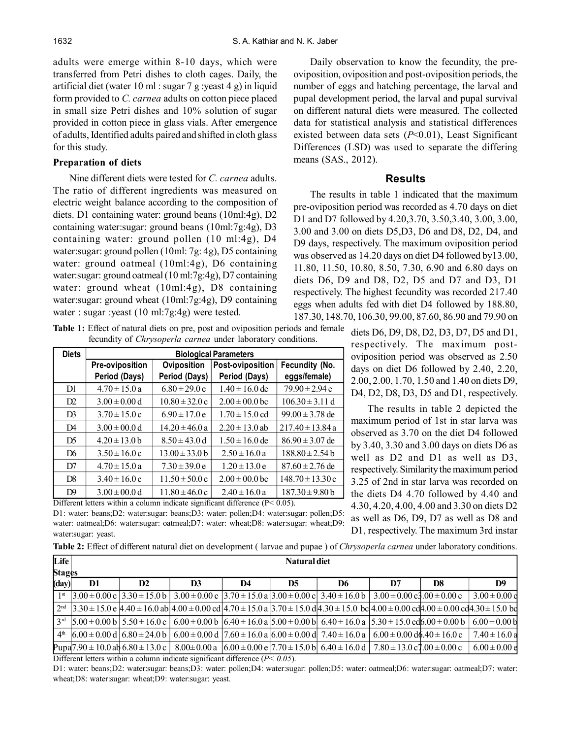adults were emerge within 8-10 days, which were transferred from Petri dishes to cloth cages. Daily, the artificial diet (water 10 ml : sugar 7 g :yeast 4 g) in liquid form provided to *C. carnea* adults on cotton piece placed in small size Petri dishes and 10% solution of sugar provided in cotton piece in glass vials. After emergence of adults, Identified adults paired and shifted in cloth glass for this study.

#### **Preparation of diets**

Nine different diets were tested for *C. carnea* adults. The ratio of different ingredients was measured on electric weight balance according to the composition of diets. D1 containing water: ground beans (10ml:4g), D2 containing water:sugar: ground beans (10ml:7g:4g), D3 containing water: ground pollen (10 ml:4g), D4 water:sugar: ground pollen (10ml: 7g: 4g), D5 containing water: ground oatmeal (10ml:4g), D6 containing water:sugar: ground oatmeal (10 ml:7g:4g), D7 containing water: ground wheat (10ml:4g), D8 containing water:sugar: ground wheat (10ml:7g:4g), D9 containing water : sugar :yeast (10 ml:7g:4g) were tested.

**Table 1:** Effect of natural diets on pre, post and oviposition periods and female fecundity of *Chrysoperla carnea* under laboratory conditions.

| <b>Diets</b>                                                                      | <b>Biological Parameters</b>     |                              |                                          |                                |  |  |  |
|-----------------------------------------------------------------------------------|----------------------------------|------------------------------|------------------------------------------|--------------------------------|--|--|--|
|                                                                                   | Pre-oviposition<br>Period (Days) | Oviposition<br>Period (Days) | <b>Post-oviposition</b><br>Period (Days) | Fecundity (No.<br>eggs/female) |  |  |  |
| DI                                                                                | $4.70 \pm 15.0 a$                | $6.80 \pm 29.0 e$            | $1.40 \pm 16.0$ de                       | $79.90 \pm 2.94 e$             |  |  |  |
| D <sub>2</sub>                                                                    | $3.00 \pm 0.00 d$                | $10.80 \pm 32.0$ c           | $2.00 \pm 00.0$ bc                       | $106.30 \pm 3.11$ d            |  |  |  |
| D <sub>3</sub>                                                                    | $3.70 \pm 15.0$ c                | $6.90 \pm 17.0 e$            | $1.70 \pm 15.0$ cd                       | $99.00 \pm 3.78$ de            |  |  |  |
| D <sub>4</sub>                                                                    | $3.00 \pm 00.0 d$                | $14.20 \pm 46.0 a$           | $2.20 \pm 13.0$ ab                       | $217.40 \pm 13.84$ a           |  |  |  |
| D <sub>5</sub>                                                                    | $4.20 \pm 13.0 b$                | $8.50 \pm 43.0 d$            | $1.50 \pm 16.0$ de                       | $86.90 \pm 3.07$ de            |  |  |  |
| D <sub>6</sub>                                                                    | $3.50 \pm 16.0$ c                | $13.00 \pm 33.0 b$           | $2.50 \pm 16.0 a$                        | $188.80 \pm 2.54$ b            |  |  |  |
| D7                                                                                | $4.70 \pm 15.0 a$                | $7.30 \pm 39.0 e$            | $1.20 \pm 13.0 e$                        | $87.60 \pm 2.76$ de            |  |  |  |
| D <sub>8</sub>                                                                    | $3.40 \pm 16.0$ c                | $11.50 \pm 50.0$ c           | $2.00 \pm 00.0$ bc                       | $148.70 \pm 13.30$ c           |  |  |  |
| D <sup>9</sup>                                                                    | $3.00 \pm 00.0 d$                | $11.80 \pm 46.0$ c           | $2.40 \pm 16.0 a$                        | $187.30 \pm 9.80$ b            |  |  |  |
| Different letters within a column indicate significant difference ( $P < 0.05$ ). |                                  |                              |                                          |                                |  |  |  |

D1: water: beans;D2: water:sugar: beans;D3: water: pollen;D4: water:sugar: pollen;D5: water: oatmeal;D6: water:sugar: oatmeal;D7: water: wheat;D8: water:sugar: wheat;D9:

Daily observation to know the fecundity, the preoviposition, oviposition and post-oviposition periods, the number of eggs and hatching percentage, the larval and pupal development period, the larval and pupal survival on different natural diets were measured. The collected data for statistical analysis and statistical differences existed between data sets (*P*<0.01), Least Significant Differences (LSD) was used to separate the differing means (SAS., 2012).

# **Results**

The results in table 1 indicated that the maximum pre-oviposition period was recorded as 4.70 days on diet D1 and D7 followed by 4.20,3.70, 3.50,3.40, 3.00, 3.00, 3.00 and 3.00 on diets D5,D3, D6 and D8, D2, D4, and D9 days, respectively. The maximum oviposition period was observed as 14.20 days on diet D4 followed by13.00, 11.80, 11.50, 10.80, 8.50, 7.30, 6.90 and 6.80 days on diets D6, D9 and D8, D2, D5 and D7 and D3, D1 respectively. The highest fecundity was recorded 217.40 eggs when adults fed with diet D4 followed by 188.80, 187.30, 148.70, 106.30, 99.00, 87.60, 86.90 and 79.90 on

> diets D6, D9, D8, D2, D3, D7, D5 and D1, respectively. The maximum postoviposition period was observed as 2.50 days on diet D6 followed by 2.40, 2.20, 2.00, 2.00, 1.70, 1.50 and 1.40 on diets D9, D<sub>4</sub>, D<sub>2</sub>, D<sub>8</sub>, D<sub>3</sub>, D<sub>5</sub> and D<sub>1</sub>, respectively.

> The results in table 2 depicted the maximum period of 1st in star larva was observed as 3.70 on the diet D4 followed by 3.40, 3.30 and 3.00 days on diets D6 as well as D2 and D1 as well as D3, respectively. Similarity the maximum period 3.25 of 2nd in star larva was recorded on the diets D4 4.70 followed by 4.40 and 4.30, 4.20, 4.00, 4.00 and 3.30 on diets D2 as well as D6, D9, D7 as well as D8 and D1, respectively. The maximum 3rd instar

water:sugar: yeast. **Table 2:** Effect of different natural diet on development ( larvae and pupae ) of *Chrysoperla carnea* under laboratory conditions.

| Life            | Natural diet |                |                                                                                                                                                                                                                   |    |    |    |    |                |                   |
|-----------------|--------------|----------------|-------------------------------------------------------------------------------------------------------------------------------------------------------------------------------------------------------------------|----|----|----|----|----------------|-------------------|
| Stages          |              |                |                                                                                                                                                                                                                   |    |    |    |    |                |                   |
| (day)           | D1           | D <sub>2</sub> | D <sub>3</sub>                                                                                                                                                                                                    | D4 | D5 | D6 | D7 | D <sub>8</sub> | D <sub>9</sub>    |
| 1 <sup>st</sup> |              |                | $(3.00 \pm 0.00 \text{ c}) (3.30 \pm 15.0 \text{ b}) (3.00 \pm 0.00 \text{ c}) (3.70 \pm 15.0 \text{ a}) (3.00 \pm 0.00 \text{ c}) (3.40 \pm 16.0 \text{ b}) (3.00 \pm 0.00 \text{ c}) (3.00 \pm 0.00 \text{ c})$ |    |    |    |    |                | $3.00 \pm 0.00$ d |
|                 |              |                | $2^{nd}$ 3.30 $\pm$ 15.0 e $4.40 \pm 16.0$ ab $4.00 \pm 0.00$ cd $4.70 \pm 15.0$ a $3.70 \pm 15.0$ d $4.30 \pm 15.0$ bc $4.00 \pm 0.00$ cd $4.00 \pm 0.00$ cd $4.30 \pm 15.0$ bc                                  |    |    |    |    |                |                   |
|                 |              |                | $3^{\text{rd}}$ 5.00 $\pm$ 0.00 b $5.50 \pm 16.0 \text{ c}$ 6.00 $\pm$ 0.00 b 6.40 $\pm$ 16.0 a 5.00 $\pm$ 0.00 b 6.40 $\pm$ 16.0 a 5.30 $\pm$ 15.0 cd6.00 $\pm$ 0.00 b 6.00 $\pm$ 0.00 b                         |    |    |    |    |                |                   |
| 4 <sup>th</sup> |              |                | $(6.00 \pm 0.00 \text{ d})$ 6.80 $\pm$ 24.0 b $(6.00 \pm 0.00 \text{ d})$ 7.60 $\pm$ 16.0 a $(6.00 \pm 0.00 \text{ d})$ 7.40 $\pm$ 16.0 a $(6.00 \pm 0.00 \text{ d})$ .40 $\pm$ 16.0 c                            |    |    |    |    |                | $7.40 \pm 16.0$ a |
|                 |              |                | Pupa $(7.90 \pm 10.0)$ ab $(6.80 \pm 13.0)$ c $(8.00 \pm 0.00)$ a $(6.00 \pm 0.00)$ e $(7.70 \pm 15.0)$ $(6.40 \pm 16.0)$ d $(7.80 \pm 13.0)$ c $(7.00 \pm 0.00)$ c                                               |    |    |    |    |                | $6.00 \pm 0.00$ e |

Different letters within a column indicate significant difference (*P< 0.05*).

D1: water: beans;D2: water:sugar: beans;D3: water: pollen;D4: water:sugar: pollen;D5: water: oatmeal;D6: water:sugar: oatmeal;D7: water: wheat;D8: water:sugar: wheat;D9: water:sugar: yeast.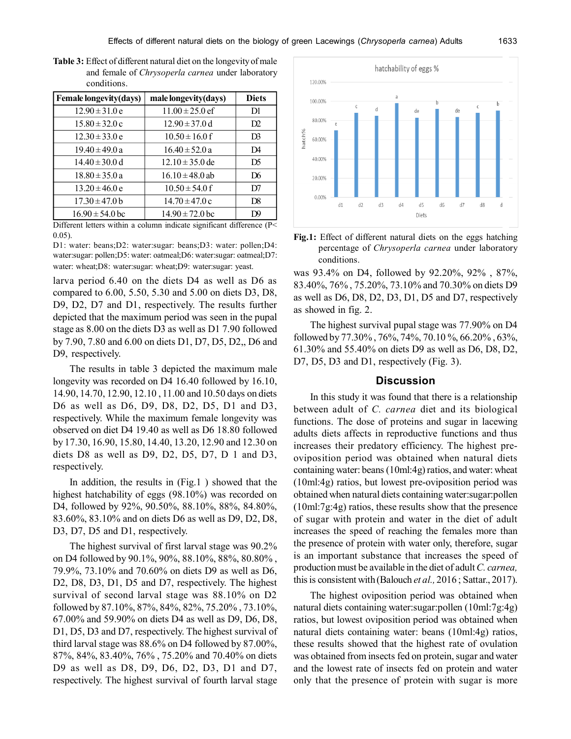| <b>Female longevity(days)</b> | male longevity(days) | <b>Diets</b>   |
|-------------------------------|----------------------|----------------|
| $12.90 \pm 31.0 e$            | $11.00 \pm 25.0$ ef  | D1             |
| $15.80 \pm 32.0$ c            | $12.90 \pm 37.0 d$   | D2             |
| $12.30 \pm 33.0 e$            | $10.50 \pm 16.0$ f   | D <sub>3</sub> |
| $19.40 \pm 49.0 a$            | $16.40 \pm 52.0 a$   | D4             |
| $14.40 \pm 30.0 d$            | $12.10 \pm 35.0$ de  | D <sub>5</sub> |
| $18.80 \pm 35.0 a$            | $16.10 \pm 48.0$ ab  | D <sub>6</sub> |
| $13.20 \pm 46.0 e$            | $10.50 \pm 54.0$ f   | D7             |
| $17.30 \pm 47.0 b$            | $14.70 \pm 47.0$ c   | D8             |
| $16.90 \pm 54.0$ bc           | $14.90 \pm 72.0$ bc  | D9             |

**Table 3:** Effect of different natural diet on the longevity of male and female of *Chrysoperla carnea* under laboratory conditions.

Different letters within a column indicate significant difference (P< 0.05).

D1: water: beans;D2: water:sugar: beans;D3: water: pollen;D4: water:sugar: pollen;D5: water: oatmeal;D6: water:sugar: oatmeal;D7: water: wheat;D8: water:sugar: wheat;D9: water:sugar: yeast.

larva period 6.40 on the diets D4 as well as D6 as compared to 6.00, 5.50, 5.30 and 5.00 on diets D3, D8, D9, D2, D7 and D1, respectively. The results further depicted that the maximum period was seen in the pupal stage as 8.00 on the diets D3 as well as D1 7.90 followed by 7.90, 7.80 and 6.00 on diets D1, D7, D5, D2,, D6 and D9, respectively.

The results in table 3 depicted the maximum male longevity was recorded on D4 16.40 followed by 16.10, 14.90, 14.70, 12.90, 12.10 , 11.00 and 10.50 days on diets D6 as well as D6, D9, D8, D2, D5, D1 and D3, respectively. While the maximum female longevity was observed on diet D4 19.40 as well as D6 18.80 followed by 17.30, 16.90, 15.80, 14.40, 13.20, 12.90 and 12.30 on diets D8 as well as D9, D2, D5, D7, D 1 and D3, respectively.

In addition, the results in (Fig.1 ) showed that the highest hatchability of eggs (98.10%) was recorded on D4, followed by 92%, 90.50%, 88.10%, 88%, 84.80%, 83.60%, 83.10% and on diets D6 as well as D9, D2, D8, D<sub>3</sub>, D<sub>7</sub>, D<sub>5</sub> and D<sub>1</sub>, respectively.

The highest survival of first larval stage was 90.2% on D4 followed by 90.1%, 90%, 88.10%, 88%, 80.80% , 79.9%, 73.10% and 70.60% on diets D9 as well as D6, D2, D8, D3, D1, D5 and D7, respectively. The highest survival of second larval stage was 88.10% on D2 followed by 87.10%, 87%, 84%, 82%, 75.20% , 73.10%, 67.00% and 59.90% on diets D4 as well as D9, D6, D8, D1, D5, D3 and D7, respectively. The highest survival of third larval stage was 88.6% on D4 followed by 87.00%, 87%, 84%, 83.40%, 76% , 75.20% and 70.40% on diets D9 as well as D8, D9, D6, D2, D3, D1 and D7, respectively. The highest survival of fourth larval stage



**Fig.1:** Effect of different natural diets on the eggs hatching percentage of *Chrysoperla carnea* under laboratory conditions.

was 93.4% on D4, followed by 92.20%, 92% , 87%, 83.40%, 76% , 75.20%, 73.10% and 70.30% on diets D9 as well as D6, D8, D2, D3, D1, D5 and D7, respectively as showed in fig. 2.

The highest survival pupal stage was 77.90% on D4 followed by 77.30% , 76%, 74%, 70.10 %, 66.20% , 63%, 61.30% and 55.40% on diets D9 as well as D6, D8, D2, D7, D5, D3 and D1, respectively (Fig. 3).

# **Discussion**

In this study it was found that there is a relationship between adult of *C. carnea* diet and its biological functions. The dose of proteins and sugar in lacewing adults diets affects in reproductive functions and thus increases their predatory efficiency. The highest preoviposition period was obtained when natural diets containing water: beans (10ml:4g) ratios, and water: wheat (10ml:4g) ratios, but lowest pre-oviposition period was obtained when natural diets containing water:sugar:pollen (10ml:7g:4g) ratios, these results show that the presence of sugar with protein and water in the diet of adult increases the speed of reaching the females more than the presence of protein with water only, therefore, sugar is an important substance that increases the speed of production must be available in the diet of adult *C. carnea,* this is consistent with (Balouch *et al.,* 2016 ; Sattar., 2017).

The highest oviposition period was obtained when natural diets containing water:sugar:pollen (10ml:7g:4g) ratios, but lowest oviposition period was obtained when natural diets containing water: beans (10ml:4g) ratios, these results showed that the highest rate of ovulation was obtained from insects fed on protein, sugar and water and the lowest rate of insects fed on protein and water only that the presence of protein with sugar is more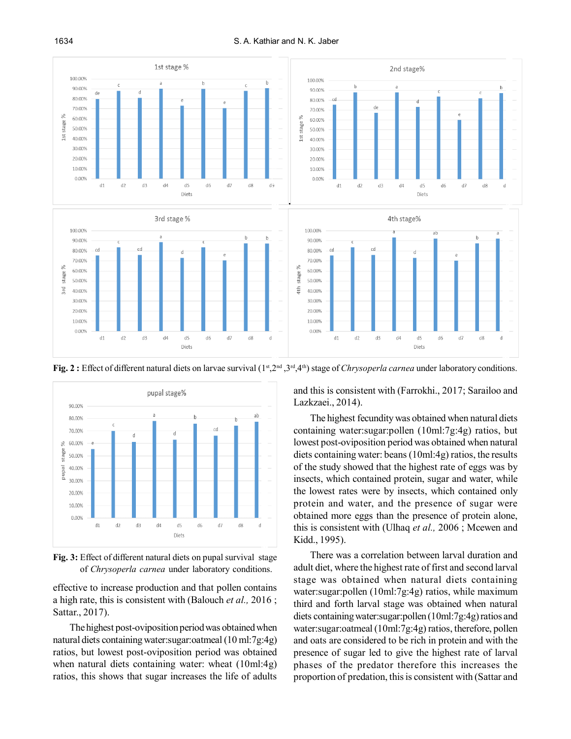

**Fig. 2** : Effect of different natural diets on larvae survival  $(1^{st}, 2^{nd}, 3^{rd}, 4^{th})$  stage of *Chrysoperla carnea* under laboratory conditions.



**Fig. 3:** Effect of different natural diets on pupal survival stage of *Chrysoperla carnea* under laboratory conditions.

effective to increase production and that pollen contains a high rate, this is consistent with (Balouch *et al.,* 2016 ; Sattar., 2017).

The highest post-oviposition periodwas obtained when natural diets containing water:sugar:oatmeal (10 ml:7g:4g) ratios, but lowest post-oviposition period was obtained when natural diets containing water: wheat (10ml:4g) ratios, this shows that sugar increases the life of adults and this is consistent with (Farrokhi., 2017; Sarailoo and Lazkzaei., 2014).

The highest fecundity was obtained when natural diets containing water:sugar:pollen (10ml:7g:4g) ratios, but lowest post-oviposition period was obtained when natural diets containing water: beans (10ml:4g) ratios, the results of the study showed that the highest rate of eggs was by insects, which contained protein, sugar and water, while the lowest rates were by insects, which contained only protein and water, and the presence of sugar were obtained more eggs than the presence of protein alone, this is consistent with (Ulhaq *et al.,* 2006 ; Mcewen and Kidd., 1995).

There was a correlation between larval duration and adult diet, where the highest rate of first and second larval stage was obtained when natural diets containing water:sugar:pollen (10ml:7g:4g) ratios, while maximum third and forth larval stage was obtained when natural diets containingwater:sugar:pollen (10ml:7g:4g) ratios and water:sugar:oatmeal (10ml:7g:4g) ratios, therefore, pollen and oats are considered to be rich in protein and with the presence of sugar led to give the highest rate of larval phases of the predator therefore this increases the proportion of predation, this is consistent with (Sattar and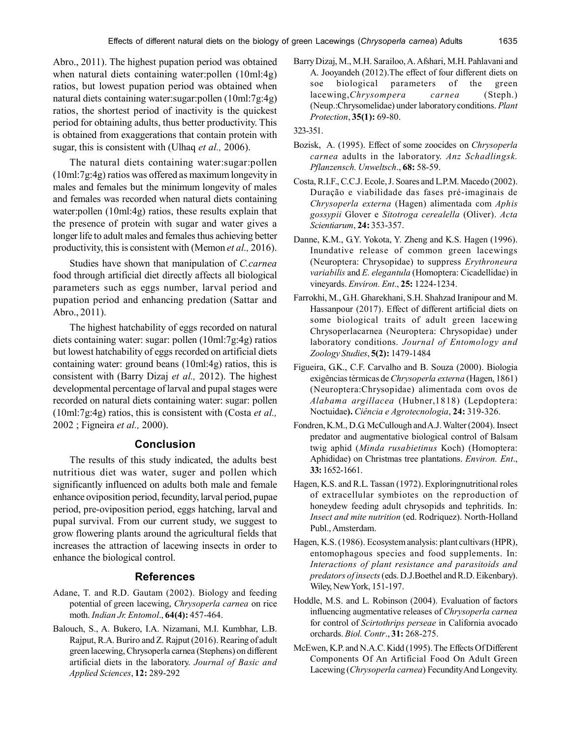Abro., 2011). The highest pupation period was obtained when natural diets containing water:pollen (10ml:4g) ratios, but lowest pupation period was obtained when natural diets containing water:sugar:pollen (10ml:7g:4g) ratios, the shortest period of inactivity is the quickest period for obtaining adults, thus better productivity. This is obtained from exaggerations that contain protein with sugar, this is consistent with (Ulhaq *et al.,* 2006).

The natural diets containing water:sugar:pollen (10ml:7g:4g) ratios was offered as maximum longevity in males and females but the minimum longevity of males and females was recorded when natural diets containing water:pollen (10ml:4g) ratios, these results explain that the presence of protein with sugar and water gives a longer life to adult males and females thus achieving better productivity, this is consistent with (Memon *et al.,* 2016).

Studies have shown that manipulation of *C.carnea* food through artificial diet directly affects all biological parameters such as eggs number, larval period and pupation period and enhancing predation (Sattar and Abro., 2011).

The highest hatchability of eggs recorded on natural diets containing water: sugar: pollen (10ml:7g:4g) ratios but lowest hatchability of eggs recorded on artificial diets containing water: ground beans (10ml:4g) ratios, this is consistent with (Barry Dizaj *et al.,* 2012). The highest developmental percentage of larval and pupal stages were recorded on natural diets containing water: sugar: pollen (10ml:7g:4g) ratios, this is consistent with (Costa *et al.,* 2002 ; Figneira *et al.,* 2000).

## **Conclusion**

The results of this study indicated, the adults best nutritious diet was water, suger and pollen which significantly influenced on adults both male and female enhance oviposition period, fecundity, larval period, pupae period, pre-oviposition period, eggs hatching, larval and pupal survival. From our current study, we suggest to grow flowering plants around the agricultural fields that increases the attraction of lacewing insects in order to enhance the biological control.

# **References**

- Adane, T. and R.D. Gautam (2002). Biology and feeding potential of green lacewing, *Chrysoperla carnea* on rice moth. *Indian Jr. Entomol*., **64(4):** 457-464.
- Balouch, S., A. Bukero, I.A. Nizamani, M.I. Kumbhar, L.B. Rajput, R.A. Buriro and Z. Rajput (2016). Rearing of adult green lacewing, Chrysoperla carnea (Stephens) on different artificial diets in the laboratory. *Journal of Basic and Applied Sciences*, **12:** 289-292

Barry Dizaj, M., M.H. Sarailoo, A. Afshari, M.H. Pahlavani and A. Jooyandeh (2012).The effect of four different diets on soe biological parameters of the green lacewing,*Chrysompera carnea* (Steph.) (Neup.:Chrysomelidae) under laboratory conditions. *Plant Protection*, **35(1):** 69-80.

323-351.

- Bozisk, A. (1995). Effect of some zoocides on *Chrysoperla carnea* adults in the laboratory. *Anz Schadlingsk. Pflanzensch. Unweltsch*., **68:** 58-59.
- Costa, R.I.F., C.C.J. Ecole, J. Soares and L.P.M. Macedo (2002). Duração e viabilidade das fases pré-imaginais de *Chrysoperla externa* (Hagen) alimentada com *Aphis gossypii* Glover e *Sitotroga cerealella* (Oliver). *Acta Scientiarum*, **24:** 353-357.
- Danne, K.M., G.Y. Yokota, Y. Zheng and K.S. Hagen (1996). Inundative release of common green lacewings (Neuroptera: Chrysopidae) to suppress *Erythroneura variabilis* and *E. elegantula* (Homoptera: Cicadellidae) in vineyards. *Environ. Ent*., **25:** 1224-1234.
- Farrokhi, M., G.H. Gharekhani, S.H. Shahzad Iranipour and M. Hassanpour (2017). Effect of different artificial diets on some biological traits of adult green lacewing Chrysoperlacarnea (Neuroptera: Chrysopidae) under laboratory conditions. *Journal of Entomology and Zoology Studies*, **5(2):** 1479-1484
- Figueira, G.K., C.F. Carvalho and B. Souza (2000). Biologia exigências térmicas de *Chrysoperla externa* (Hagen, 1861) (Neuroptera:Chrysopidae) alimentada com ovos de *Alabama argillacea* (Hubner,1818) (Lepdoptera: Noctuidae**).** *Ciência e Agrotecnologia*, **24:** 319-326.
- Fondren, K.M., D.G. McCullough and A.J. Walter (2004). Insect predator and augmentative biological control of Balsam twig aphid (*Minda rusabietinus* Koch) (Homoptera: Aphididae) on Christmas tree plantations. *Environ. Ent*., **33:** 1652-1661.
- Hagen, K.S. and R.L. Tassan (1972). Exploringnutritional roles of extracellular symbiotes on the reproduction of honeydew feeding adult chrysopids and tephritids. In: *Insect and mite nutrition* (ed. Rodriquez). North-Holland Publ., Amsterdam.
- Hagen, K.S. (1986). Ecosystem analysis: plant cultivars (HPR), entomophagous species and food supplements. In: *Interactions of plant resistance and parasitoids and predators of insects* (eds. D.J.Boethel and R.D. Eikenbary). Wiley, New York, 151-197.
- Hoddle, M.S. and L. Robinson (2004). Evaluation of factors influencing augmentative releases of *Chrysoperla carnea* for control of *Scirtothrips perseae* in California avocado orchards. *Biol. Contr*., **31:** 268-275.
- McEwen, K.P. and N.A.C. Kidd (1995). The Effects Of Different Components Of An Artificial Food On Adult Green Lacewing (*Chrysoperla carnea*) Fecundity And Longevity.